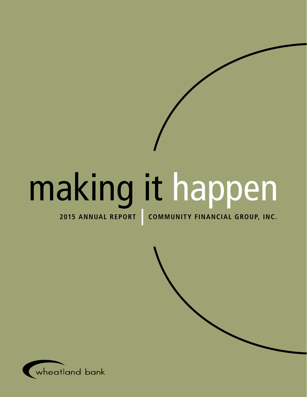# making it happen

**2015 annual report Community financial group, inc.**

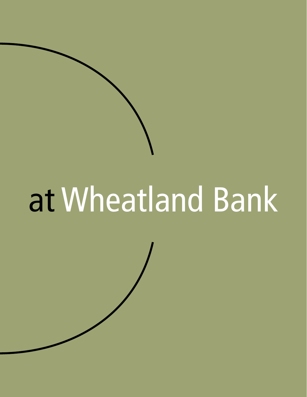# at Wheatland Bank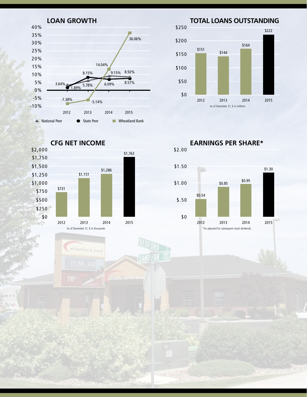

**Total Loans outstanding**



**CFG Net income**



wheatland bar

\$2.00 **earnings per share\***

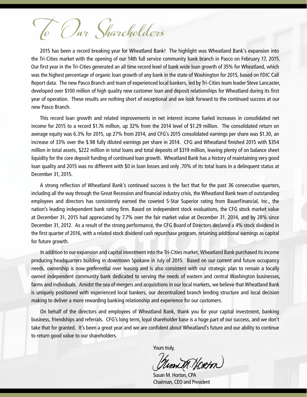To Our Shareholders

2015 has been a record breaking year for Wheatland Bank! The highlight was Wheatland Bank's expansion into the Tri-Cities market with the opening of our 14th full service community bank branch in Pasco on February 17, 2015. Our first year in the Tri-Cities generated an all time record level of bank wide loan growth of 35% for Wheatland, which was the highest percentage of organic loan growth of any bank in the state of Washington for 2015, based on FDIC Call Report data. The new Pasco Branch and team of experienced local bankers, led by Tri-Cities team leader Steve Lancaster, developed over \$100 million of high quality new customer loan and deposit relationships for Wheatland during its first year of operation. These results are nothing short of exceptional and we look forward to the continued success at our new Pasco Branch.

This record loan growth and related improvements in net interest income fueled increases in consolidated net income for 2015 to a record \$1.76 million, up 32% from the 2014 level of \$1.29 million. The consolidated return on average equity was 6.3% for 2015, up 27% from 2014, and CFG's 2015 consolidated earnings per share was \$1.30, an increase of 33% over the \$.98 fully diluted earnings per share in 2014. CFG and Wheatland finished 2015 with \$354 million in total assets, \$222 million in total loans and total deposits of \$319 million, leaving plenty of on balance sheet liquidity for the core deposit funding of continued loan growth. Wheatland Bank has a history of maintaining very good loan quality and 2015 was no different with \$0 in loan losses and only .70% of its total loans in a delinquent status at December 31, 2015.

A strong reflection of Wheatland Bank's continued success is the fact that for the past 36 consecutive quarters, including all the way through the Great Recession and financial industry crisis, the Wheatland Bank team of outstanding employees and directors has consistently earned the coveted 5-Star Superior rating from BauerFinancial, Inc., the nation's leading independent bank rating firm. Based on independent stock evaluations, the CFG stock market value at December 31, 2015 had appreciated by 7.7% over the fair market value at December 31, 2014, and by 28% since December 31, 2012. As a result of the strong performance, the CFG Board of Directors declared a 4% stock dividend in the first quarter of 2016, with a related stock dividend cash repurchase program, retaining additional earnings as capital for future growth.

In addition to our expansion and capital investment into the Tri-Cities market, Wheatland Bank purchased its income producing headquarters building in downtown Spokane in July of 2015. Based on our current and future occupancy needs, ownership is now preferential over leasing and is also consistent with our strategic plan to remain a locally owned independent community bank dedicated to serving the needs of eastern and central Washington businesses, farms and individuals. Amidst the sea of mergers and acquisitions in our local markets, we believe that Wheatland Bank is uniquely positioned with experienced local bankers, our decentralized branch lending structure and local decision making to deliver a more rewarding banking relationship and experience for our customers.

On behalf of the directors and employees of Wheatland Bank, thank you for your capital investment, banking business, friendships and referrals. CFG's long term, loyal shareholder base is a huge part of our success, and we don't take that for granted. It's been a great year and we are confident about Wheatland's future and our ability to continue to return good value to our shareholders.

Yours truly,

um M. Hoetn

Susan M. Horton, CPA Chairman, CEO and President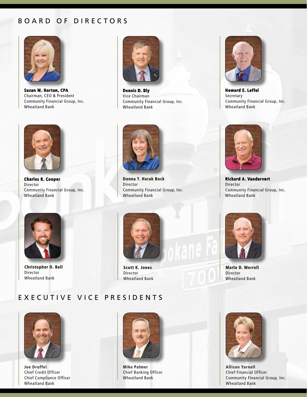## Board of directors



**Susan M. Horton, CPA** Chairman, CEO & President Community Financial Group, Inc. Wheatland Bank



**Dennis D. Bly** Vice Chairman Community Financial Group, Inc. Wheatland Bank



**Charles R. Cooper** Director Community Financial Group, Inc. Wheatland Bank



**Donna T. Herak Bock** Director Community Financial Group, Inc. Wheatland Bank



**Howard E. Leffel** Secretary Community Financial Group, Inc. Wheatland Bank



**Richard A. Vandervert** Director Community Financial Group, Inc. Wheatland Bank



**Christopher D. Bell** Director Wheatland Bank



**Scott K. Jones** Director Wheatland Bank



**Marlo D. Merrell** Director Wheatland Bank

# E xecutive vice Presidents



**Joe Druffel** Chief Credit Officer Chief Compliance Officer Wheatland Bank



**Mike Palmer** Chief Banking Officer Wheatland Bank



**Allison Yarnell** Chief Financial Officer Community Financial Group, Inc. Wheatland Bank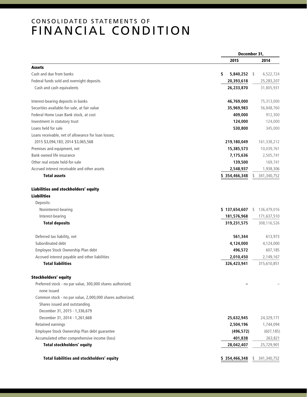# C onsolidated statements of Financial condition

|                                                            |                    | December 31,       |
|------------------------------------------------------------|--------------------|--------------------|
|                                                            | 2015               | 2014               |
| <b>Assets</b>                                              |                    |                    |
| Cash and due from banks                                    | 5,840,252 \$<br>\$ | 6,522,724          |
| Federal funds sold and overnight deposits                  | 20,393,618         | 25,283,207         |
| Cash and cash equivalents                                  | 26,233,870         | 31,805,931         |
| Interest-bearing deposits in banks                         | 46,769,000         | 75,313,000         |
| Securities available-for-sale, at fair value               | 35,969,983         | 56,848,760         |
| Federal Home Loan Bank stock, at cost                      | 409,000            | 912,300            |
| Investment in statutory trust                              | 124,000            | 124,000            |
| Loans held for sale                                        | 530,800            | 345,000            |
| Loans receivable, net of allowance for loan losses;        |                    |                    |
| 2015 \$3,094,183; 2014 \$3,065,568                         | 219,180,049        | 161,338,212        |
| Premises and equipment, net                                | 15,385,573         | 10,039,761         |
| Bank owned life insurance                                  | 7,175,636          | 2,505,741          |
| Other real estate held-for-sale                            | 139,500            | 169,741            |
| Accrued interest receivable and other assets               | 2,548,937          | 1,938,306          |
| <b>Total assets</b>                                        | \$354,466,348      | 341, 340, 752      |
| Liabilities and stockholders' equity                       |                    |                    |
| <b>Liabilities</b>                                         |                    |                    |
| Deposits:                                                  |                    |                    |
| Noninterest-bearing                                        | \$137,654,607      | 136,479,016<br>S.  |
| Interest-bearing                                           | 181,576,968        | 171,637,510        |
| <b>Total deposits</b>                                      | 319,231,575        | 308,116,526        |
| Deferred tax liability, net                                | 561,344            | 613,973            |
| Subordinated debt                                          | 4,124,000          | 4,124,000          |
| Employee Stock Ownership Plan debt                         | 496,572            | 607,185            |
| Accrued interest payable and other liabilities             | 2,010,450          | 2,149,167          |
| <b>Total liabilities</b>                                   | 326,423,941        | 315,610,851        |
| <b>Stockholders' equity</b>                                |                    |                    |
| Preferred stock - no par value, 300,000 shares authorized; |                    |                    |
| none issued                                                |                    |                    |
| Common stock - no par value, 2,000,000 shares authorized;  |                    |                    |
| Shares issued and outstanding                              |                    |                    |
| December 31, 2015 - 1,336,679                              |                    |                    |
| December 31, 2014 - 1,261,668                              | 25,632,945         | 24,329,171         |
| Retained earnings                                          | 2,504,196          | 1,744,094          |
| Employee Stock Ownership Plan debt guarantee               | (496, 572)         | (607, 185)         |
| Accumulated other comprehensive income (loss)              | 401,838            | 263,821            |
| <b>Total stockholders' equity</b>                          | 28,042,407         | 25,729,901         |
| Total liabilities and stockholders' equity                 | \$354,466,348      | 341, 340, 752<br>S |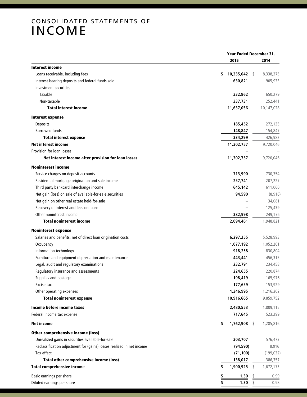# C onsolidated statements of INCOME

|                                                                       | Year Ended December 31, |            |
|-----------------------------------------------------------------------|-------------------------|------------|
|                                                                       | 2015                    | 2014       |
| <b>Interest income</b>                                                |                         |            |
| Loans receivable, including fees                                      | $10,335,642$ \$<br>\$   | 8,338,375  |
| Interest-bearing deposits and federal funds sold                      | 630,821                 | 905,933    |
| Investment securities                                                 |                         |            |
| Taxable                                                               | 332,862                 | 650,279    |
| Non-taxable                                                           | 337,731                 | 252,441    |
| <b>Total interest income</b>                                          | 11,637,056              | 10,147,028 |
| <b>Interest expense</b>                                               |                         |            |
| <b>Deposits</b>                                                       | 185,452                 | 272,135    |
| <b>Borrowed funds</b>                                                 | 148,847                 | 154,847    |
| <b>Total interest expense</b>                                         | 334,299                 | 426,982    |
| <b>Net interest income</b>                                            | 11,302,757              | 9,720,046  |
| Provision for loan losses                                             |                         |            |
| Net interest income after provision for loan losses                   | 11,302,757              | 9,720,046  |
| <b>Noninterest income</b>                                             |                         |            |
| Service charges on deposit accounts                                   | 713,990                 | 730,754    |
| Residential mortgage origination and sale income                      | 257,741                 | 207,227    |
| Third party bankcard interchange income                               | 645,142                 | 611,060    |
| Net gain (loss) on sale of available-for-sale securities              | 94,590                  | (8, 916)   |
| Net gain on other real estate held-for-sale                           |                         | 34,081     |
| Recovery of interest and fees on loans                                |                         | 125,439    |
| Other noninterest income                                              | 382,998                 | 249,176    |
| <b>Total noninterest income</b>                                       | 2,094,461               | 1,948,821  |
| <b>Noninterest expense</b>                                            |                         |            |
| Salaries and benefits, net of direct loan origination costs           | 6,297,255               | 5,528,993  |
| Occupancy                                                             | 1,077,192               | 1,052,201  |
| Information technology                                                | 918,258                 | 830,804    |
| Furniture and equipment depreciation and maintenance                  | 443,441                 | 456,315    |
| Legal, audit and regulatory examinations                              | 232,791                 | 234,458    |
| Regulatory insurance and assessments                                  | 224,655                 | 220,874    |
| Supplies and postage                                                  | 198,419                 | 165,976    |
| Excise tax                                                            | 177,659                 | 153,929    |
| Other operating expenses                                              | 1,346,995               | 1,216,202  |
| <b>Total noninterest expense</b>                                      | 10,916,665              | 9,859,752  |
| Income before income taxes                                            | 2,480,553               | 1,809,115  |
| Federal income tax expense                                            | 717,645                 | 523,299    |
| <b>Net income</b>                                                     | 1,762,908<br>\$<br>- \$ | 1,285,816  |
| <b>Other comprehensive income (loss)</b>                              |                         |            |
| Unrealized gains in securities available-for-sale                     | 303,707                 | 576,473    |
| Reclassification adjustment for (gains) losses realized in net income | (94, 590)               | 8,916      |
| Tax effect                                                            | (71, 100)               | (199, 032) |
| <b>Total other comprehensive income (loss)</b>                        | 138,017                 | 386,357    |
| <b>Total comprehensive income</b>                                     | 1,900,925               | 1,672,173  |
| Basic earnings per share                                              | 1.30<br>\$              | 0.99       |
| Diluted earnings per share                                            | \$<br>1.30<br>S         | 0.98       |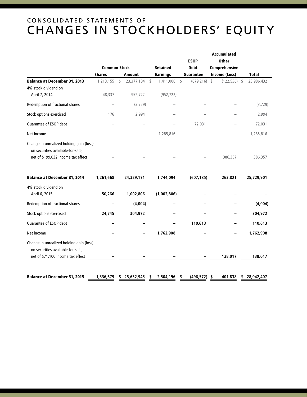# C onsolidated statements of changes in stockholders' Equity

|                                                                               |                     |    |                 |                 |             |                  | Accumulated           |  |              |
|-------------------------------------------------------------------------------|---------------------|----|-----------------|-----------------|-------------|------------------|-----------------------|--|--------------|
|                                                                               |                     |    |                 |                 |             | <b>ESOP</b>      | <b>Other</b>          |  |              |
|                                                                               | <b>Common Stock</b> |    | <b>Retained</b> |                 | <b>Debt</b> | Comprehensive    |                       |  |              |
|                                                                               | <b>Shares</b>       |    | <b>Amount</b>   | <b>Earnings</b> |             | <b>Guarantee</b> | Income (Loss)         |  | <b>Total</b> |
| <b>Balance at December 31, 2013</b>                                           | 1,213,155           | \$ | 23,377,184      | \$<br>1,411,000 | \$          | (679, 216)       | \$<br>$(122, 536)$ \$ |  | 23,986,432   |
| 4% stock dividend on                                                          |                     |    |                 |                 |             |                  |                       |  |              |
| April 7, 2014                                                                 | 48,337              |    | 952,722         | (952, 722)      |             |                  |                       |  |              |
| Redemption of fractional shares                                               |                     |    | (3, 729)        |                 |             |                  |                       |  | (3, 729)     |
| Stock options exercised                                                       | 176                 |    | 2,994           |                 |             |                  |                       |  | 2,994        |
| Guarantee of ESOP debt                                                        |                     |    |                 |                 |             | 72,031           |                       |  | 72,031       |
| Net income                                                                    |                     |    |                 | 1,285,816       |             |                  |                       |  | 1,285,816    |
| Change in unrealized holding gain (loss)                                      |                     |    |                 |                 |             |                  |                       |  |              |
| on securities available-for-sale,                                             |                     |    |                 |                 |             |                  |                       |  |              |
| net of \$199,032 income tax effect                                            |                     |    |                 |                 |             |                  | 386,357               |  | 386,357      |
| <b>Balance at December 31, 2014</b>                                           | 1,261,668           |    | 24,329,171      | 1,744,094       |             | (607, 185)       | 263,821               |  | 25,729,901   |
| 4% stock dividend on                                                          |                     |    |                 |                 |             |                  |                       |  |              |
| April 6, 2015                                                                 | 50,266              |    | 1,002,806       | (1,002,806)     |             |                  |                       |  |              |
| Redemption of fractional shares                                               |                     |    | (4,004)         |                 |             |                  |                       |  | (4,004)      |
| Stock options exercised                                                       | 24,745              |    | 304,972         |                 |             |                  |                       |  | 304,972      |
| Guarantee of ESOP debt                                                        |                     |    |                 |                 |             | 110,613          |                       |  | 110,613      |
| Net income                                                                    |                     |    |                 | 1,762,908       |             |                  |                       |  | 1,762,908    |
| Change in unrealized holding gain (loss)<br>on securities available-for-sale, |                     |    |                 |                 |             |                  |                       |  |              |
| net of \$71,100 income tax effect                                             |                     |    |                 |                 |             |                  | 138,017               |  | 138,017      |
|                                                                               |                     |    |                 |                 |             |                  |                       |  |              |
| <b>Balance at December 31, 2015</b>                                           | 1,336,679           | \$ | 25,632,945      | \$<br>2,504,196 | \$          | $(496, 572)$ \$  | 401.838               |  | \$28,042,407 |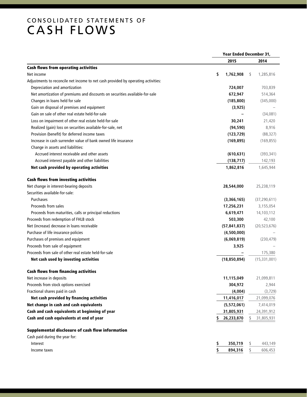# CONSOLIDATED STATEMENTS OF CASH FLOWS

| 2015<br>2014<br>\$<br>1,762,908<br>1,285,816<br>Net income<br>S<br>Depreciation and amortization<br>724,007<br>703,839<br>Net amortization of premiums and discounts on securities available-for-sale<br>672,947<br>514,364<br>Changes in loans held for sale<br>(185, 800)<br>(345,000)<br>Gain on disposal of premises and equipment<br>(3, 925)<br>Gain on sale of other real estate held-for-sale<br>(34,081)<br>Loss on impairment of other real estate held-for-sale<br>30,241<br>21,420<br>Realized (gain) loss on securities available-for-sale, net<br>(94, 590)<br>8,916<br>Provision (benefit) for deferred income taxes<br>(123, 729)<br>(88, 327)<br>Increase in cash surrender value of bank owned life insurance<br>(169, 895)<br>(169, 855)<br>Change in assets and liabilities:<br>Accrued interest receivable and other assets<br>(610, 631)<br>(393, 341)<br>Accrued interest payable and other liabilities<br>142,193<br>(138, 717)<br>Net cash provided by operating activities<br>1,862,816<br>1,645,944<br>28,544,000<br>25,238,119<br>Purchases<br>(3,366,165)<br>(37, 290, 611)<br>Proceeds from sales<br>17,256,231<br>3,155,054<br>Proceeds from maturities, calls or principal reductions<br>6,619,471<br>14,103,112<br>42,100<br>503,300<br>(57, 841, 837)<br>(20, 523, 676)<br>(4,500,000)<br>(6,069,819)<br>(230, 479)<br>Proceeds from sale of equipment<br>3,925<br>175,380<br>Net cash used by investing activities<br>(18, 850, 894)<br>(15, 331, 001)<br><b>Cash flows from financing activities</b><br>Net increase in deposits<br>11,115,049<br>21,099,811<br>304,972<br>2,944<br>Fractional shares paid in cash<br>(4,004)<br>(3, 729)<br>Net cash provided by financing activities<br>11,416,017<br>21,099,076<br>Net change in cash and cash equivalents<br>(5,572,061)<br>7,414,019<br>Cash and cash equivalents at beginning of year<br>31,805,931<br>24,391,912<br>Cash and cash equivalents at end of year<br>26,233,870<br>31,805,931<br>\$<br>Supplemental disclosure of cash flow information<br>Cash paid during the year for:<br>\$<br>350,719<br>\$<br>443,149<br>Interest<br>\$<br>\$<br>894,316<br>606,453<br>Income taxes |                                                                                   | Year Ended December 31, |  |  |
|---------------------------------------------------------------------------------------------------------------------------------------------------------------------------------------------------------------------------------------------------------------------------------------------------------------------------------------------------------------------------------------------------------------------------------------------------------------------------------------------------------------------------------------------------------------------------------------------------------------------------------------------------------------------------------------------------------------------------------------------------------------------------------------------------------------------------------------------------------------------------------------------------------------------------------------------------------------------------------------------------------------------------------------------------------------------------------------------------------------------------------------------------------------------------------------------------------------------------------------------------------------------------------------------------------------------------------------------------------------------------------------------------------------------------------------------------------------------------------------------------------------------------------------------------------------------------------------------------------------------------------------------------------------------------------------------------------------------------------------------------------------------------------------------------------------------------------------------------------------------------------------------------------------------------------------------------------------------------------------------------------------------------------------------------------------------------------------------------------------------------------------------------------------------------------|-----------------------------------------------------------------------------------|-------------------------|--|--|
|                                                                                                                                                                                                                                                                                                                                                                                                                                                                                                                                                                                                                                                                                                                                                                                                                                                                                                                                                                                                                                                                                                                                                                                                                                                                                                                                                                                                                                                                                                                                                                                                                                                                                                                                                                                                                                                                                                                                                                                                                                                                                                                                                                                 |                                                                                   |                         |  |  |
|                                                                                                                                                                                                                                                                                                                                                                                                                                                                                                                                                                                                                                                                                                                                                                                                                                                                                                                                                                                                                                                                                                                                                                                                                                                                                                                                                                                                                                                                                                                                                                                                                                                                                                                                                                                                                                                                                                                                                                                                                                                                                                                                                                                 | <b>Cash flows from operating activities</b>                                       |                         |  |  |
|                                                                                                                                                                                                                                                                                                                                                                                                                                                                                                                                                                                                                                                                                                                                                                                                                                                                                                                                                                                                                                                                                                                                                                                                                                                                                                                                                                                                                                                                                                                                                                                                                                                                                                                                                                                                                                                                                                                                                                                                                                                                                                                                                                                 |                                                                                   |                         |  |  |
|                                                                                                                                                                                                                                                                                                                                                                                                                                                                                                                                                                                                                                                                                                                                                                                                                                                                                                                                                                                                                                                                                                                                                                                                                                                                                                                                                                                                                                                                                                                                                                                                                                                                                                                                                                                                                                                                                                                                                                                                                                                                                                                                                                                 | Adjustments to reconcile net income to net cash provided by operating activities: |                         |  |  |
|                                                                                                                                                                                                                                                                                                                                                                                                                                                                                                                                                                                                                                                                                                                                                                                                                                                                                                                                                                                                                                                                                                                                                                                                                                                                                                                                                                                                                                                                                                                                                                                                                                                                                                                                                                                                                                                                                                                                                                                                                                                                                                                                                                                 |                                                                                   |                         |  |  |
|                                                                                                                                                                                                                                                                                                                                                                                                                                                                                                                                                                                                                                                                                                                                                                                                                                                                                                                                                                                                                                                                                                                                                                                                                                                                                                                                                                                                                                                                                                                                                                                                                                                                                                                                                                                                                                                                                                                                                                                                                                                                                                                                                                                 |                                                                                   |                         |  |  |
|                                                                                                                                                                                                                                                                                                                                                                                                                                                                                                                                                                                                                                                                                                                                                                                                                                                                                                                                                                                                                                                                                                                                                                                                                                                                                                                                                                                                                                                                                                                                                                                                                                                                                                                                                                                                                                                                                                                                                                                                                                                                                                                                                                                 |                                                                                   |                         |  |  |
|                                                                                                                                                                                                                                                                                                                                                                                                                                                                                                                                                                                                                                                                                                                                                                                                                                                                                                                                                                                                                                                                                                                                                                                                                                                                                                                                                                                                                                                                                                                                                                                                                                                                                                                                                                                                                                                                                                                                                                                                                                                                                                                                                                                 |                                                                                   |                         |  |  |
|                                                                                                                                                                                                                                                                                                                                                                                                                                                                                                                                                                                                                                                                                                                                                                                                                                                                                                                                                                                                                                                                                                                                                                                                                                                                                                                                                                                                                                                                                                                                                                                                                                                                                                                                                                                                                                                                                                                                                                                                                                                                                                                                                                                 |                                                                                   |                         |  |  |
|                                                                                                                                                                                                                                                                                                                                                                                                                                                                                                                                                                                                                                                                                                                                                                                                                                                                                                                                                                                                                                                                                                                                                                                                                                                                                                                                                                                                                                                                                                                                                                                                                                                                                                                                                                                                                                                                                                                                                                                                                                                                                                                                                                                 |                                                                                   |                         |  |  |
|                                                                                                                                                                                                                                                                                                                                                                                                                                                                                                                                                                                                                                                                                                                                                                                                                                                                                                                                                                                                                                                                                                                                                                                                                                                                                                                                                                                                                                                                                                                                                                                                                                                                                                                                                                                                                                                                                                                                                                                                                                                                                                                                                                                 |                                                                                   |                         |  |  |
|                                                                                                                                                                                                                                                                                                                                                                                                                                                                                                                                                                                                                                                                                                                                                                                                                                                                                                                                                                                                                                                                                                                                                                                                                                                                                                                                                                                                                                                                                                                                                                                                                                                                                                                                                                                                                                                                                                                                                                                                                                                                                                                                                                                 |                                                                                   |                         |  |  |
|                                                                                                                                                                                                                                                                                                                                                                                                                                                                                                                                                                                                                                                                                                                                                                                                                                                                                                                                                                                                                                                                                                                                                                                                                                                                                                                                                                                                                                                                                                                                                                                                                                                                                                                                                                                                                                                                                                                                                                                                                                                                                                                                                                                 |                                                                                   |                         |  |  |
|                                                                                                                                                                                                                                                                                                                                                                                                                                                                                                                                                                                                                                                                                                                                                                                                                                                                                                                                                                                                                                                                                                                                                                                                                                                                                                                                                                                                                                                                                                                                                                                                                                                                                                                                                                                                                                                                                                                                                                                                                                                                                                                                                                                 |                                                                                   |                         |  |  |
|                                                                                                                                                                                                                                                                                                                                                                                                                                                                                                                                                                                                                                                                                                                                                                                                                                                                                                                                                                                                                                                                                                                                                                                                                                                                                                                                                                                                                                                                                                                                                                                                                                                                                                                                                                                                                                                                                                                                                                                                                                                                                                                                                                                 |                                                                                   |                         |  |  |
|                                                                                                                                                                                                                                                                                                                                                                                                                                                                                                                                                                                                                                                                                                                                                                                                                                                                                                                                                                                                                                                                                                                                                                                                                                                                                                                                                                                                                                                                                                                                                                                                                                                                                                                                                                                                                                                                                                                                                                                                                                                                                                                                                                                 |                                                                                   |                         |  |  |
|                                                                                                                                                                                                                                                                                                                                                                                                                                                                                                                                                                                                                                                                                                                                                                                                                                                                                                                                                                                                                                                                                                                                                                                                                                                                                                                                                                                                                                                                                                                                                                                                                                                                                                                                                                                                                                                                                                                                                                                                                                                                                                                                                                                 |                                                                                   |                         |  |  |
|                                                                                                                                                                                                                                                                                                                                                                                                                                                                                                                                                                                                                                                                                                                                                                                                                                                                                                                                                                                                                                                                                                                                                                                                                                                                                                                                                                                                                                                                                                                                                                                                                                                                                                                                                                                                                                                                                                                                                                                                                                                                                                                                                                                 | <b>Cash flows from investing activities</b>                                       |                         |  |  |
|                                                                                                                                                                                                                                                                                                                                                                                                                                                                                                                                                                                                                                                                                                                                                                                                                                                                                                                                                                                                                                                                                                                                                                                                                                                                                                                                                                                                                                                                                                                                                                                                                                                                                                                                                                                                                                                                                                                                                                                                                                                                                                                                                                                 | Net change in interest-bearing deposits                                           |                         |  |  |
|                                                                                                                                                                                                                                                                                                                                                                                                                                                                                                                                                                                                                                                                                                                                                                                                                                                                                                                                                                                                                                                                                                                                                                                                                                                                                                                                                                                                                                                                                                                                                                                                                                                                                                                                                                                                                                                                                                                                                                                                                                                                                                                                                                                 | Securities available-for-sale:                                                    |                         |  |  |
|                                                                                                                                                                                                                                                                                                                                                                                                                                                                                                                                                                                                                                                                                                                                                                                                                                                                                                                                                                                                                                                                                                                                                                                                                                                                                                                                                                                                                                                                                                                                                                                                                                                                                                                                                                                                                                                                                                                                                                                                                                                                                                                                                                                 |                                                                                   |                         |  |  |
|                                                                                                                                                                                                                                                                                                                                                                                                                                                                                                                                                                                                                                                                                                                                                                                                                                                                                                                                                                                                                                                                                                                                                                                                                                                                                                                                                                                                                                                                                                                                                                                                                                                                                                                                                                                                                                                                                                                                                                                                                                                                                                                                                                                 |                                                                                   |                         |  |  |
|                                                                                                                                                                                                                                                                                                                                                                                                                                                                                                                                                                                                                                                                                                                                                                                                                                                                                                                                                                                                                                                                                                                                                                                                                                                                                                                                                                                                                                                                                                                                                                                                                                                                                                                                                                                                                                                                                                                                                                                                                                                                                                                                                                                 |                                                                                   |                         |  |  |
|                                                                                                                                                                                                                                                                                                                                                                                                                                                                                                                                                                                                                                                                                                                                                                                                                                                                                                                                                                                                                                                                                                                                                                                                                                                                                                                                                                                                                                                                                                                                                                                                                                                                                                                                                                                                                                                                                                                                                                                                                                                                                                                                                                                 | Proceeds from redemption of FHLB stock                                            |                         |  |  |
|                                                                                                                                                                                                                                                                                                                                                                                                                                                                                                                                                                                                                                                                                                                                                                                                                                                                                                                                                                                                                                                                                                                                                                                                                                                                                                                                                                                                                                                                                                                                                                                                                                                                                                                                                                                                                                                                                                                                                                                                                                                                                                                                                                                 | Net (increase) decrease in loans receivable                                       |                         |  |  |
|                                                                                                                                                                                                                                                                                                                                                                                                                                                                                                                                                                                                                                                                                                                                                                                                                                                                                                                                                                                                                                                                                                                                                                                                                                                                                                                                                                                                                                                                                                                                                                                                                                                                                                                                                                                                                                                                                                                                                                                                                                                                                                                                                                                 | Purchase of life insurance policies                                               |                         |  |  |
|                                                                                                                                                                                                                                                                                                                                                                                                                                                                                                                                                                                                                                                                                                                                                                                                                                                                                                                                                                                                                                                                                                                                                                                                                                                                                                                                                                                                                                                                                                                                                                                                                                                                                                                                                                                                                                                                                                                                                                                                                                                                                                                                                                                 | Purchases of premises and equipment                                               |                         |  |  |
|                                                                                                                                                                                                                                                                                                                                                                                                                                                                                                                                                                                                                                                                                                                                                                                                                                                                                                                                                                                                                                                                                                                                                                                                                                                                                                                                                                                                                                                                                                                                                                                                                                                                                                                                                                                                                                                                                                                                                                                                                                                                                                                                                                                 |                                                                                   |                         |  |  |
|                                                                                                                                                                                                                                                                                                                                                                                                                                                                                                                                                                                                                                                                                                                                                                                                                                                                                                                                                                                                                                                                                                                                                                                                                                                                                                                                                                                                                                                                                                                                                                                                                                                                                                                                                                                                                                                                                                                                                                                                                                                                                                                                                                                 | Proceeds from sale of other real estate held-for-sale                             |                         |  |  |
|                                                                                                                                                                                                                                                                                                                                                                                                                                                                                                                                                                                                                                                                                                                                                                                                                                                                                                                                                                                                                                                                                                                                                                                                                                                                                                                                                                                                                                                                                                                                                                                                                                                                                                                                                                                                                                                                                                                                                                                                                                                                                                                                                                                 |                                                                                   |                         |  |  |
|                                                                                                                                                                                                                                                                                                                                                                                                                                                                                                                                                                                                                                                                                                                                                                                                                                                                                                                                                                                                                                                                                                                                                                                                                                                                                                                                                                                                                                                                                                                                                                                                                                                                                                                                                                                                                                                                                                                                                                                                                                                                                                                                                                                 |                                                                                   |                         |  |  |
|                                                                                                                                                                                                                                                                                                                                                                                                                                                                                                                                                                                                                                                                                                                                                                                                                                                                                                                                                                                                                                                                                                                                                                                                                                                                                                                                                                                                                                                                                                                                                                                                                                                                                                                                                                                                                                                                                                                                                                                                                                                                                                                                                                                 |                                                                                   |                         |  |  |
|                                                                                                                                                                                                                                                                                                                                                                                                                                                                                                                                                                                                                                                                                                                                                                                                                                                                                                                                                                                                                                                                                                                                                                                                                                                                                                                                                                                                                                                                                                                                                                                                                                                                                                                                                                                                                                                                                                                                                                                                                                                                                                                                                                                 | Proceeds from stock options exercised                                             |                         |  |  |
|                                                                                                                                                                                                                                                                                                                                                                                                                                                                                                                                                                                                                                                                                                                                                                                                                                                                                                                                                                                                                                                                                                                                                                                                                                                                                                                                                                                                                                                                                                                                                                                                                                                                                                                                                                                                                                                                                                                                                                                                                                                                                                                                                                                 |                                                                                   |                         |  |  |
|                                                                                                                                                                                                                                                                                                                                                                                                                                                                                                                                                                                                                                                                                                                                                                                                                                                                                                                                                                                                                                                                                                                                                                                                                                                                                                                                                                                                                                                                                                                                                                                                                                                                                                                                                                                                                                                                                                                                                                                                                                                                                                                                                                                 |                                                                                   |                         |  |  |
|                                                                                                                                                                                                                                                                                                                                                                                                                                                                                                                                                                                                                                                                                                                                                                                                                                                                                                                                                                                                                                                                                                                                                                                                                                                                                                                                                                                                                                                                                                                                                                                                                                                                                                                                                                                                                                                                                                                                                                                                                                                                                                                                                                                 |                                                                                   |                         |  |  |
|                                                                                                                                                                                                                                                                                                                                                                                                                                                                                                                                                                                                                                                                                                                                                                                                                                                                                                                                                                                                                                                                                                                                                                                                                                                                                                                                                                                                                                                                                                                                                                                                                                                                                                                                                                                                                                                                                                                                                                                                                                                                                                                                                                                 |                                                                                   |                         |  |  |
|                                                                                                                                                                                                                                                                                                                                                                                                                                                                                                                                                                                                                                                                                                                                                                                                                                                                                                                                                                                                                                                                                                                                                                                                                                                                                                                                                                                                                                                                                                                                                                                                                                                                                                                                                                                                                                                                                                                                                                                                                                                                                                                                                                                 |                                                                                   |                         |  |  |
|                                                                                                                                                                                                                                                                                                                                                                                                                                                                                                                                                                                                                                                                                                                                                                                                                                                                                                                                                                                                                                                                                                                                                                                                                                                                                                                                                                                                                                                                                                                                                                                                                                                                                                                                                                                                                                                                                                                                                                                                                                                                                                                                                                                 |                                                                                   |                         |  |  |
|                                                                                                                                                                                                                                                                                                                                                                                                                                                                                                                                                                                                                                                                                                                                                                                                                                                                                                                                                                                                                                                                                                                                                                                                                                                                                                                                                                                                                                                                                                                                                                                                                                                                                                                                                                                                                                                                                                                                                                                                                                                                                                                                                                                 |                                                                                   |                         |  |  |
|                                                                                                                                                                                                                                                                                                                                                                                                                                                                                                                                                                                                                                                                                                                                                                                                                                                                                                                                                                                                                                                                                                                                                                                                                                                                                                                                                                                                                                                                                                                                                                                                                                                                                                                                                                                                                                                                                                                                                                                                                                                                                                                                                                                 |                                                                                   |                         |  |  |
|                                                                                                                                                                                                                                                                                                                                                                                                                                                                                                                                                                                                                                                                                                                                                                                                                                                                                                                                                                                                                                                                                                                                                                                                                                                                                                                                                                                                                                                                                                                                                                                                                                                                                                                                                                                                                                                                                                                                                                                                                                                                                                                                                                                 |                                                                                   |                         |  |  |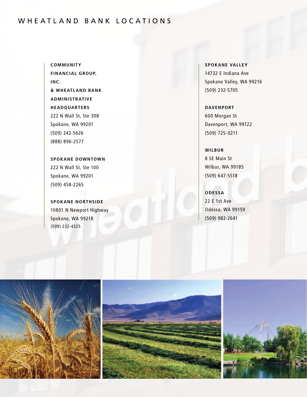### WHEATLAND BANK LOCATIONS

**Community Financial Group, Inc. & Wheatland Bank Administrative Headquarters** 222 N Wall St, Ste 308 Spokane, WA 99201 (509) 242-5626 (888) 896-2577

**Spokane Downtown** 222 N Wall St, Ste 100 Spokane, WA 99201 (509) 458-2265

**Spokane Northside** 10801 N Newport Highway Spokane, WA 99218 (509) 232-4325

**Spokane Valley** 14732 E Indiana Ave Spokane Valley, WA 99216 (509) 232-5705

### **Davenport**

600 Morgan St Davenport, WA 99122 (509) 725-0211

#### **Wilbur**

8 SE Main St Wilbur, WA 99185 (509) 647-5518

**Odessa** 22 E 1st Ave Odessa, WA 99159

(509) 982-2641